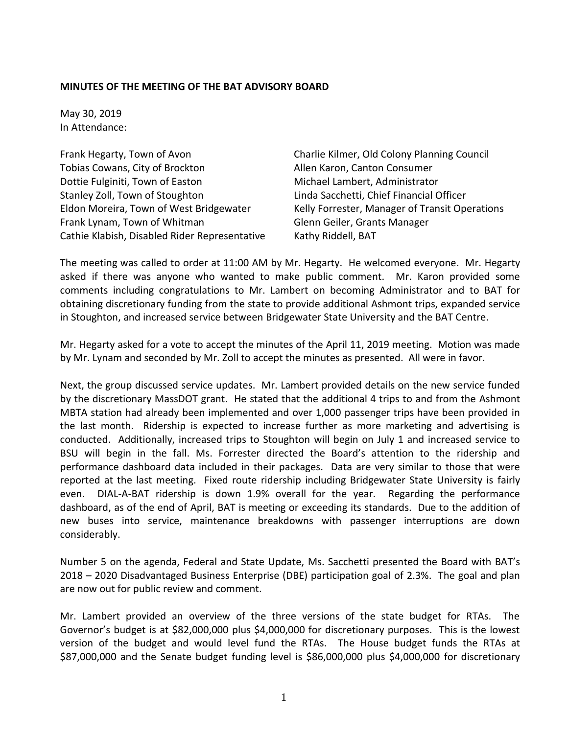## **MINUTES OF THE MEETING OF THE BAT ADVISORY BOARD**

May 30, 2019 In Attendance:

Frank Hegarty, Town of Avon Charlie Kilmer, Old Colony Planning Council Tobias Cowans, City of Brockton The Allen Karon, Canton Consumer Dottie Fulginiti, Town of Easton Michael Lambert, Administrator Stanley Zoll, Town of Stoughton Linda Sacchetti, Chief Financial Officer Frank Lynam, Town of Whitman Glenn Geiler, Grants Manager Cathie Klabish, Disabled Rider Representative Kathy Riddell, BAT

Eldon Moreira, Town of West Bridgewater Kelly Forrester, Manager of Transit Operations

The meeting was called to order at 11:00 AM by Mr. Hegarty. He welcomed everyone. Mr. Hegarty asked if there was anyone who wanted to make public comment. Mr. Karon provided some comments including congratulations to Mr. Lambert on becoming Administrator and to BAT for obtaining discretionary funding from the state to provide additional Ashmont trips, expanded service in Stoughton, and increased service between Bridgewater State University and the BAT Centre.

Mr. Hegarty asked for a vote to accept the minutes of the April 11, 2019 meeting. Motion was made by Mr. Lynam and seconded by Mr. Zoll to accept the minutes as presented. All were in favor.

Next, the group discussed service updates. Mr. Lambert provided details on the new service funded by the discretionary MassDOT grant. He stated that the additional 4 trips to and from the Ashmont MBTA station had already been implemented and over 1,000 passenger trips have been provided in the last month. Ridership is expected to increase further as more marketing and advertising is conducted. Additionally, increased trips to Stoughton will begin on July 1 and increased service to BSU will begin in the fall. Ms. Forrester directed the Board's attention to the ridership and performance dashboard data included in their packages. Data are very similar to those that were reported at the last meeting. Fixed route ridership including Bridgewater State University is fairly even. DIAL-A-BAT ridership is down 1.9% overall for the year. Regarding the performance dashboard, as of the end of April, BAT is meeting or exceeding its standards. Due to the addition of new buses into service, maintenance breakdowns with passenger interruptions are down considerably.

Number 5 on the agenda, Federal and State Update, Ms. Sacchetti presented the Board with BAT's 2018 – 2020 Disadvantaged Business Enterprise (DBE) participation goal of 2.3%. The goal and plan are now out for public review and comment.

Mr. Lambert provided an overview of the three versions of the state budget for RTAs. The Governor's budget is at \$82,000,000 plus \$4,000,000 for discretionary purposes. This is the lowest version of the budget and would level fund the RTAs. The House budget funds the RTAs at \$87,000,000 and the Senate budget funding level is \$86,000,000 plus \$4,000,000 for discretionary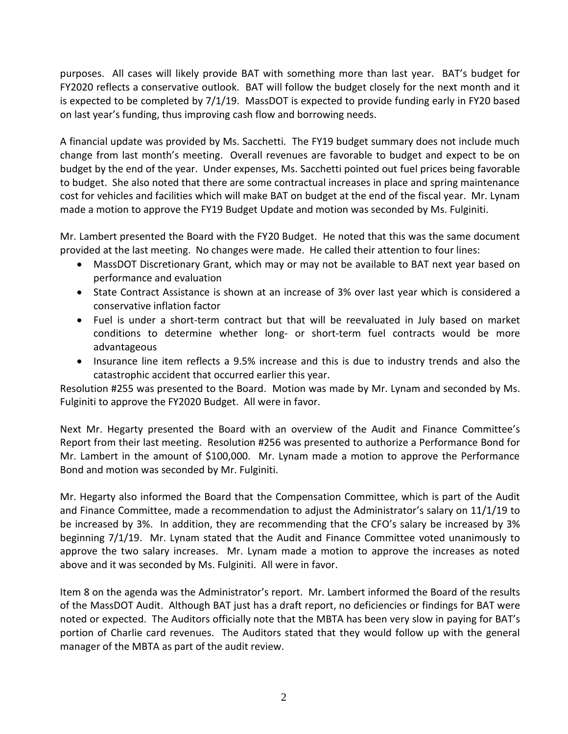purposes. All cases will likely provide BAT with something more than last year. BAT's budget for FY2020 reflects a conservative outlook. BAT will follow the budget closely for the next month and it is expected to be completed by 7/1/19. MassDOT is expected to provide funding early in FY20 based on last year's funding, thus improving cash flow and borrowing needs.

A financial update was provided by Ms. Sacchetti. The FY19 budget summary does not include much change from last month's meeting. Overall revenues are favorable to budget and expect to be on budget by the end of the year. Under expenses, Ms. Sacchetti pointed out fuel prices being favorable to budget. She also noted that there are some contractual increases in place and spring maintenance cost for vehicles and facilities which will make BAT on budget at the end of the fiscal year. Mr. Lynam made a motion to approve the FY19 Budget Update and motion was seconded by Ms. Fulginiti.

Mr. Lambert presented the Board with the FY20 Budget. He noted that this was the same document provided at the last meeting. No changes were made. He called their attention to four lines:

- MassDOT Discretionary Grant, which may or may not be available to BAT next year based on performance and evaluation
- State Contract Assistance is shown at an increase of 3% over last year which is considered a conservative inflation factor
- Fuel is under a short-term contract but that will be reevaluated in July based on market conditions to determine whether long- or short-term fuel contracts would be more advantageous
- Insurance line item reflects a 9.5% increase and this is due to industry trends and also the catastrophic accident that occurred earlier this year.

Resolution #255 was presented to the Board. Motion was made by Mr. Lynam and seconded by Ms. Fulginiti to approve the FY2020 Budget. All were in favor.

Next Mr. Hegarty presented the Board with an overview of the Audit and Finance Committee's Report from their last meeting. Resolution #256 was presented to authorize a Performance Bond for Mr. Lambert in the amount of \$100,000. Mr. Lynam made a motion to approve the Performance Bond and motion was seconded by Mr. Fulginiti.

Mr. Hegarty also informed the Board that the Compensation Committee, which is part of the Audit and Finance Committee, made a recommendation to adjust the Administrator's salary on 11/1/19 to be increased by 3%. In addition, they are recommending that the CFO's salary be increased by 3% beginning 7/1/19. Mr. Lynam stated that the Audit and Finance Committee voted unanimously to approve the two salary increases. Mr. Lynam made a motion to approve the increases as noted above and it was seconded by Ms. Fulginiti. All were in favor.

Item 8 on the agenda was the Administrator's report. Mr. Lambert informed the Board of the results of the MassDOT Audit. Although BAT just has a draft report, no deficiencies or findings for BAT were noted or expected. The Auditors officially note that the MBTA has been very slow in paying for BAT's portion of Charlie card revenues. The Auditors stated that they would follow up with the general manager of the MBTA as part of the audit review.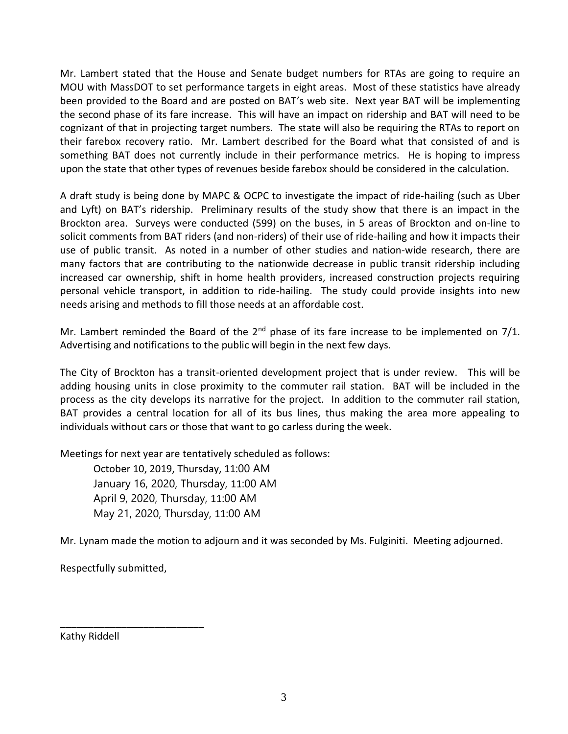Mr. Lambert stated that the House and Senate budget numbers for RTAs are going to require an MOU with MassDOT to set performance targets in eight areas. Most of these statistics have already been provided to the Board and are posted on BAT's web site. Next year BAT will be implementing the second phase of its fare increase. This will have an impact on ridership and BAT will need to be cognizant of that in projecting target numbers. The state will also be requiring the RTAs to report on their farebox recovery ratio. Mr. Lambert described for the Board what that consisted of and is something BAT does not currently include in their performance metrics. He is hoping to impress upon the state that other types of revenues beside farebox should be considered in the calculation.

A draft study is being done by MAPC & OCPC to investigate the impact of ride-hailing (such as Uber and Lyft) on BAT's ridership. Preliminary results of the study show that there is an impact in the Brockton area. Surveys were conducted (599) on the buses, in 5 areas of Brockton and on-line to solicit comments from BAT riders (and non-riders) of their use of ride-hailing and how it impacts their use of public transit. As noted in a number of other studies and nation-wide research, there are many factors that are contributing to the nationwide decrease in public transit ridership including increased car ownership, shift in home health providers, increased construction projects requiring personal vehicle transport, in addition to ride-hailing. The study could provide insights into new needs arising and methods to fill those needs at an affordable cost.

Mr. Lambert reminded the Board of the  $2<sup>nd</sup>$  phase of its fare increase to be implemented on  $7/1$ . Advertising and notifications to the public will begin in the next few days.

The City of Brockton has a transit-oriented development project that is under review. This will be adding housing units in close proximity to the commuter rail station. BAT will be included in the process as the city develops its narrative for the project. In addition to the commuter rail station, BAT provides a central location for all of its bus lines, thus making the area more appealing to individuals without cars or those that want to go carless during the week.

Meetings for next year are tentatively scheduled as follows:

October 10, 2019, Thursday, 11:00 AM January 16, 2020, Thursday, 11:00 AM April 9, 2020, Thursday, 11:00 AM May 21, 2020, Thursday, 11:00 AM

Mr. Lynam made the motion to adjourn and it was seconded by Ms. Fulginiti. Meeting adjourned.

Respectfully submitted,

\_\_\_\_\_\_\_\_\_\_\_\_\_\_\_\_\_\_\_\_\_\_\_\_\_\_

Kathy Riddell